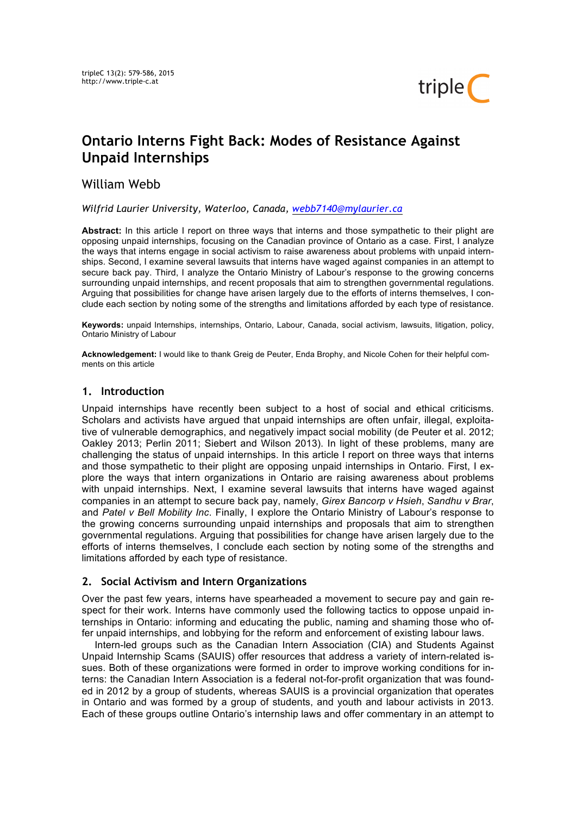

# **Ontario Interns Fight Back: Modes of Resistance Against Unpaid Internships**

# William Webb

*Wilfrid Laurier University, Waterloo, Canada, webb7140@mylaurier.ca*

**Abstract:** In this article I report on three ways that interns and those sympathetic to their plight are opposing unpaid internships, focusing on the Canadian province of Ontario as a case. First, I analyze the ways that interns engage in social activism to raise awareness about problems with unpaid internships. Second, I examine several lawsuits that interns have waged against companies in an attempt to secure back pay. Third, I analyze the Ontario Ministry of Labour's response to the growing concerns surrounding unpaid internships, and recent proposals that aim to strengthen governmental regulations. Arguing that possibilities for change have arisen largely due to the efforts of interns themselves, I conclude each section by noting some of the strengths and limitations afforded by each type of resistance.

**Keywords:** unpaid Internships, internships, Ontario, Labour, Canada, social activism, lawsuits, litigation, policy, Ontario Ministry of Labour

**Acknowledgement:** I would like to thank Greig de Peuter, Enda Brophy, and Nicole Cohen for their helpful comments on this article

## **1. Introduction**

Unpaid internships have recently been subject to a host of social and ethical criticisms. Scholars and activists have argued that unpaid internships are often unfair, illegal, exploitative of vulnerable demographics, and negatively impact social mobility (de Peuter et al. 2012; Oakley 2013; Perlin 2011; Siebert and Wilson 2013). In light of these problems, many are challenging the status of unpaid internships. In this article I report on three ways that interns and those sympathetic to their plight are opposing unpaid internships in Ontario. First, I explore the ways that intern organizations in Ontario are raising awareness about problems with unpaid internships. Next, I examine several lawsuits that interns have waged against companies in an attempt to secure back pay, namely, *Girex Bancorp v Hsieh*, *Sandhu v Brar*, and *Patel v Bell Mobility Inc*. Finally, I explore the Ontario Ministry of Labour's response to the growing concerns surrounding unpaid internships and proposals that aim to strengthen governmental regulations. Arguing that possibilities for change have arisen largely due to the efforts of interns themselves, I conclude each section by noting some of the strengths and limitations afforded by each type of resistance.

## **2. Social Activism and Intern Organizations**

Over the past few years, interns have spearheaded a movement to secure pay and gain respect for their work. Interns have commonly used the following tactics to oppose unpaid internships in Ontario: informing and educating the public, naming and shaming those who offer unpaid internships, and lobbying for the reform and enforcement of existing labour laws.

Intern-led groups such as the Canadian Intern Association (CIA) and Students Against Unpaid Internship Scams (SAUIS) offer resources that address a variety of intern-related issues. Both of these organizations were formed in order to improve working conditions for interns: the Canadian Intern Association is a federal not-for-profit organization that was founded in 2012 by a group of students, whereas SAUIS is a provincial organization that operates in Ontario and was formed by a group of students, and youth and labour activists in 2013. Each of these groups outline Ontario's internship laws and offer commentary in an attempt to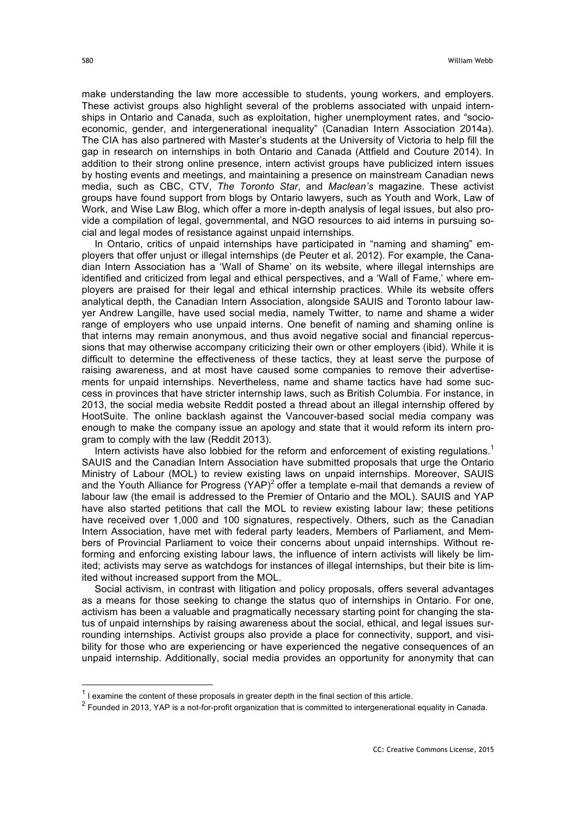make understanding the law more accessible to students, young workers, and employers. These activist groups also highlight several of the problems associated with unpaid internships in Ontario and Canada, such as exploitation, higher unemployment rates, and "socioeconomic, gender, and intergenerational inequality" (Canadian Intern Association 2014a). The CIA has also partnered with Master's students at the University of Victoria to help fill the gap in research on internships in both Ontario and Canada (Attfield and Couture 2014). In addition to their strong online presence, intern activist groups have publicized intern issues by hosting events and meetings, and maintaining a presence on mainstream Canadian news media, such as CBC, CTV, *The Toronto Star*, and *Maclean's* magazine. These activist groups have found support from blogs by Ontario lawyers, such as Youth and Work, Law of Work, and Wise Law Blog, which offer a more in-depth analysis of legal issues, but also provide a compilation of legal, governmental, and NGO resources to aid interns in pursuing social and legal modes of resistance against unpaid internships.

In Ontario, critics of unpaid internships have participated in "naming and shaming" employers that offer unjust or illegal internships (de Peuter et al. 2012). For example, the Canadian Intern Association has a 'Wall of Shame' on its website, where illegal internships are identified and criticized from legal and ethical perspectives, and a 'Wall of Fame,' where employers are praised for their legal and ethical internship practices. While its website offers analytical depth, the Canadian Intern Association, alongside SAUIS and Toronto labour lawyer Andrew Langille, have used social media, namely Twitter, to name and shame a wider range of employers who use unpaid interns. One benefit of naming and shaming online is that interns may remain anonymous, and thus avoid negative social and financial repercussions that may otherwise accompany criticizing their own or other employers (ibid). While it is difficult to determine the effectiveness of these tactics, they at least serve the purpose of raising awareness, and at most have caused some companies to remove their advertisements for unpaid internships. Nevertheless, name and shame tactics have had some success in provinces that have stricter internship laws, such as British Columbia. For instance, in 2013, the social media website Reddit posted a thread about an illegal internship offered by HootSuite. The online backlash against the Vancouver-based social media company was enough to make the company issue an apology and state that it would reform its intern program to comply with the law (Reddit 2013).

Intern activists have also lobbied for the reform and enforcement of existing regulations.<sup>1</sup> SAUIS and the Canadian Intern Association have submitted proposals that urge the Ontario Ministry of Labour (MOL) to review existing laws on unpaid internships. Moreover, SAUIS and the Youth Alliance for Progress (YAP)<sup>2</sup> offer a template e-mail that demands a review of labour law (the email is addressed to the Premier of Ontario and the MOL). SAUIS and YAP have also started petitions that call the MOL to review existing labour law; these petitions have received over 1,000 and 100 signatures, respectively. Others, such as the Canadian Intern Association, have met with federal party leaders, Members of Parliament, and Members of Provincial Parliament to voice their concerns about unpaid internships. Without reforming and enforcing existing labour laws, the influence of intern activists will likely be limited; activists may serve as watchdogs for instances of illegal internships, but their bite is limited without increased support from the MOL.

Social activism, in contrast with litigation and policy proposals, offers several advantages as a means for those seeking to change the status quo of internships in Ontario. For one, activism has been a valuable and pragmatically necessary starting point for changing the status of unpaid internships by raising awareness about the social, ethical, and legal issues surrounding internships. Activist groups also provide a place for connectivity, support, and visibility for those who are experiencing or have experienced the negative consequences of an unpaid internship. Additionally, social media provides an opportunity for anonymity that can

 $<sup>1</sup>$  I examine the content of these proposals in greater depth in the final section of this article.</sup>

 $2$  Founded in 2013, YAP is a not-for-profit organization that is committed to intergenerational equality in Canada.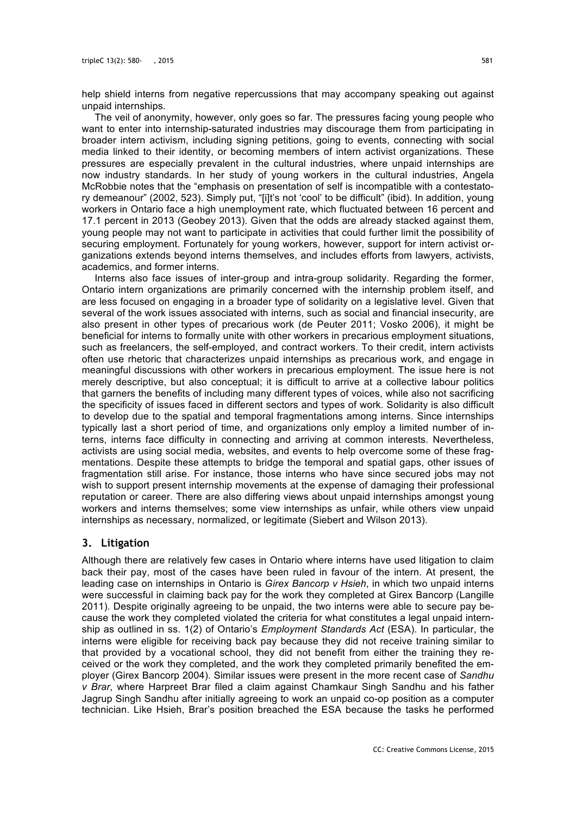help shield interns from negative repercussions that may accompany speaking out against unpaid internships.

The veil of anonymity, however, only goes so far. The pressures facing young people who want to enter into internship-saturated industries may discourage them from participating in broader intern activism, including signing petitions, going to events, connecting with social media linked to their identity, or becoming members of intern activist organizations. These pressures are especially prevalent in the cultural industries, where unpaid internships are now industry standards. In her study of young workers in the cultural industries, Angela McRobbie notes that the "emphasis on presentation of self is incompatible with a contestatory demeanour" (2002, 523). Simply put, "[i]t's not 'cool' to be difficult" (ibid). In addition, young workers in Ontario face a high unemployment rate, which fluctuated between 16 percent and 17.1 percent in 2013 (Geobey 2013). Given that the odds are already stacked against them, young people may not want to participate in activities that could further limit the possibility of securing employment. Fortunately for young workers, however, support for intern activist organizations extends beyond interns themselves, and includes efforts from lawyers, activists, academics, and former interns.

Interns also face issues of inter-group and intra-group solidarity. Regarding the former, Ontario intern organizations are primarily concerned with the internship problem itself, and are less focused on engaging in a broader type of solidarity on a legislative level. Given that several of the work issues associated with interns, such as social and financial insecurity, are also present in other types of precarious work (de Peuter 2011; Vosko 2006), it might be beneficial for interns to formally unite with other workers in precarious employment situations, such as freelancers, the self-employed, and contract workers. To their credit, intern activists often use rhetoric that characterizes unpaid internships as precarious work, and engage in meaningful discussions with other workers in precarious employment. The issue here is not merely descriptive, but also conceptual; it is difficult to arrive at a collective labour politics that garners the benefits of including many different types of voices, while also not sacrificing the specificity of issues faced in different sectors and types of work. Solidarity is also difficult to develop due to the spatial and temporal fragmentations among interns. Since internships typically last a short period of time, and organizations only employ a limited number of interns, interns face difficulty in connecting and arriving at common interests. Nevertheless, activists are using social media, websites, and events to help overcome some of these fragmentations. Despite these attempts to bridge the temporal and spatial gaps, other issues of fragmentation still arise. For instance, those interns who have since secured jobs may not wish to support present internship movements at the expense of damaging their professional reputation or career. There are also differing views about unpaid internships amongst young workers and interns themselves; some view internships as unfair, while others view unpaid internships as necessary, normalized, or legitimate (Siebert and Wilson 2013).

#### **3. Litigation**

Although there are relatively few cases in Ontario where interns have used litigation to claim back their pay, most of the cases have been ruled in favour of the intern. At present, the leading case on internships in Ontario is *Girex Bancorp v Hsieh*, in which two unpaid interns were successful in claiming back pay for the work they completed at Girex Bancorp (Langille 2011). Despite originally agreeing to be unpaid, the two interns were able to secure pay because the work they completed violated the criteria for what constitutes a legal unpaid internship as outlined in ss. 1(2) of Ontario's *Employment Standards Act* (ESA). In particular, the interns were eligible for receiving back pay because they did not receive training similar to that provided by a vocational school, they did not benefit from either the training they received or the work they completed, and the work they completed primarily benefited the employer (Girex Bancorp 2004). Similar issues were present in the more recent case of *Sandhu v Brar*, where Harpreet Brar filed a claim against Chamkaur Singh Sandhu and his father Jagrup Singh Sandhu after initially agreeing to work an unpaid co-op position as a computer technician. Like Hsieh, Brar's position breached the ESA because the tasks he performed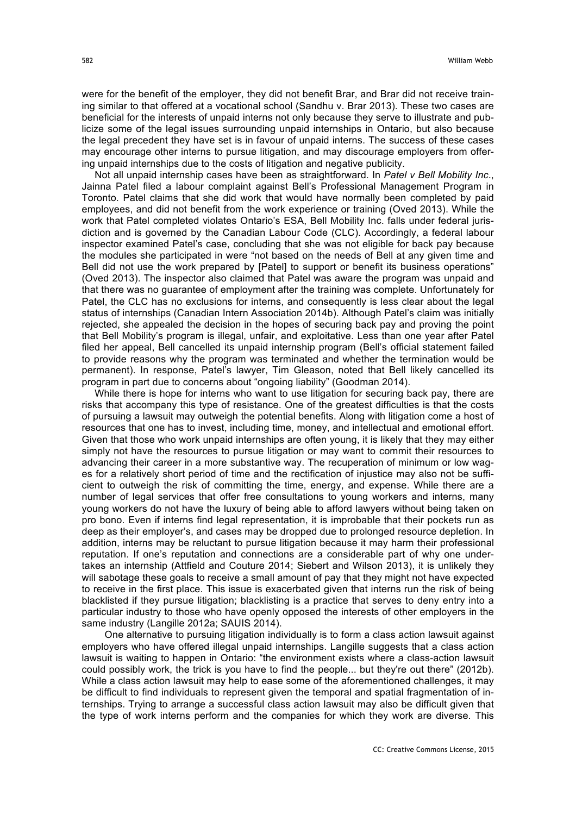were for the benefit of the employer, they did not benefit Brar, and Brar did not receive training similar to that offered at a vocational school (Sandhu v. Brar 2013). These two cases are beneficial for the interests of unpaid interns not only because they serve to illustrate and publicize some of the legal issues surrounding unpaid internships in Ontario, but also because the legal precedent they have set is in favour of unpaid interns. The success of these cases may encourage other interns to pursue litigation, and may discourage employers from offering unpaid internships due to the costs of litigation and negative publicity.

Not all unpaid internship cases have been as straightforward. In *Patel v Bell Mobility Inc*., Jainna Patel filed a labour complaint against Bell's Professional Management Program in Toronto. Patel claims that she did work that would have normally been completed by paid employees, and did not benefit from the work experience or training (Oved 2013). While the work that Patel completed violates Ontario's ESA, Bell Mobility Inc. falls under federal jurisdiction and is governed by the Canadian Labour Code (CLC). Accordingly, a federal labour inspector examined Patel's case, concluding that she was not eligible for back pay because the modules she participated in were "not based on the needs of Bell at any given time and Bell did not use the work prepared by [Patel] to support or benefit its business operations" (Oved 2013). The inspector also claimed that Patel was aware the program was unpaid and that there was no guarantee of employment after the training was complete. Unfortunately for Patel, the CLC has no exclusions for interns, and consequently is less clear about the legal status of internships (Canadian Intern Association 2014b). Although Patel's claim was initially rejected, she appealed the decision in the hopes of securing back pay and proving the point that Bell Mobility's program is illegal, unfair, and exploitative. Less than one year after Patel filed her appeal, Bell cancelled its unpaid internship program (Bell's official statement failed to provide reasons why the program was terminated and whether the termination would be permanent). In response, Patel's lawyer, Tim Gleason, noted that Bell likely cancelled its program in part due to concerns about "ongoing liability" (Goodman 2014).

While there is hope for interns who want to use litigation for securing back pay, there are risks that accompany this type of resistance. One of the greatest difficulties is that the costs of pursuing a lawsuit may outweigh the potential benefits. Along with litigation come a host of resources that one has to invest, including time, money, and intellectual and emotional effort. Given that those who work unpaid internships are often young, it is likely that they may either simply not have the resources to pursue litigation or may want to commit their resources to advancing their career in a more substantive way. The recuperation of minimum or low wages for a relatively short period of time and the rectification of injustice may also not be sufficient to outweigh the risk of committing the time, energy, and expense. While there are a number of legal services that offer free consultations to young workers and interns, many young workers do not have the luxury of being able to afford lawyers without being taken on pro bono. Even if interns find legal representation, it is improbable that their pockets run as deep as their employer's, and cases may be dropped due to prolonged resource depletion. In addition, interns may be reluctant to pursue litigation because it may harm their professional reputation. If one's reputation and connections are a considerable part of why one undertakes an internship (Attfield and Couture 2014; Siebert and Wilson 2013), it is unlikely they will sabotage these goals to receive a small amount of pay that they might not have expected to receive in the first place. This issue is exacerbated given that interns run the risk of being blacklisted if they pursue litigation; blacklisting is a practice that serves to deny entry into a particular industry to those who have openly opposed the interests of other employers in the same industry (Langille 2012a; SAUIS 2014).

One alternative to pursuing litigation individually is to form a class action lawsuit against employers who have offered illegal unpaid internships. Langille suggests that a class action lawsuit is waiting to happen in Ontario: "the environment exists where a class-action lawsuit could possibly work, the trick is you have to find the people... but they're out there" (2012b). While a class action lawsuit may help to ease some of the aforementioned challenges, it may be difficult to find individuals to represent given the temporal and spatial fragmentation of internships. Trying to arrange a successful class action lawsuit may also be difficult given that the type of work interns perform and the companies for which they work are diverse. This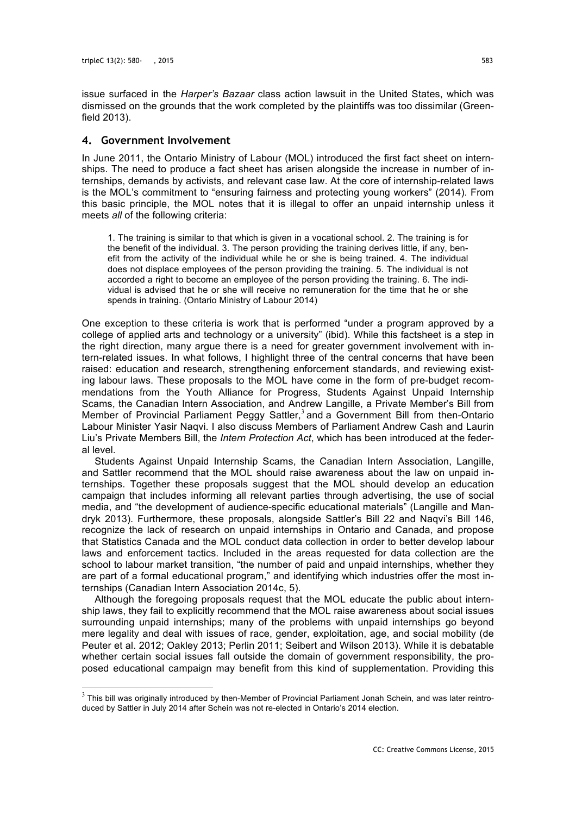issue surfaced in the *Harper's Bazaar* class action lawsuit in the United States, which was dismissed on the grounds that the work completed by the plaintiffs was too dissimilar (Greenfield 2013).

#### **4. Government Involvement**

In June 2011, the Ontario Ministry of Labour (MOL) introduced the first fact sheet on internships. The need to produce a fact sheet has arisen alongside the increase in number of internships, demands by activists, and relevant case law. At the core of internship-related laws is the MOL's commitment to "ensuring fairness and protecting young workers" (2014). From this basic principle, the MOL notes that it is illegal to offer an unpaid internship unless it meets *all* of the following criteria:

1. The training is similar to that which is given in a vocational school. 2. The training is for the benefit of the individual. 3. The person providing the training derives little, if any, benefit from the activity of the individual while he or she is being trained. 4. The individual does not displace employees of the person providing the training. 5. The individual is not accorded a right to become an employee of the person providing the training. 6. The individual is advised that he or she will receive no remuneration for the time that he or she spends in training. (Ontario Ministry of Labour 2014)

One exception to these criteria is work that is performed "under a program approved by a college of applied arts and technology or a university" (ibid). While this factsheet is a step in the right direction, many argue there is a need for greater government involvement with intern-related issues. In what follows, I highlight three of the central concerns that have been raised: education and research, strengthening enforcement standards, and reviewing existing labour laws. These proposals to the MOL have come in the form of pre-budget recommendations from the Youth Alliance for Progress, Students Against Unpaid Internship Scams, the Canadian Intern Association, and Andrew Langille, a Private Member's Bill from Member of Provincial Parliament Peggy Sattler,<sup>3</sup> and a Government Bill from then-Ontario Labour Minister Yasir Naqvi. I also discuss Members of Parliament Andrew Cash and Laurin Liu's Private Members Bill, the *Intern Protection Act*, which has been introduced at the federal level.

Students Against Unpaid Internship Scams, the Canadian Intern Association, Langille, and Sattler recommend that the MOL should raise awareness about the law on unpaid internships. Together these proposals suggest that the MOL should develop an education campaign that includes informing all relevant parties through advertising, the use of social media, and "the development of audience-specific educational materials" (Langille and Mandryk 2013). Furthermore, these proposals, alongside Sattler's Bill 22 and Naqvi's Bill 146, recognize the lack of research on unpaid internships in Ontario and Canada, and propose that Statistics Canada and the MOL conduct data collection in order to better develop labour laws and enforcement tactics. Included in the areas requested for data collection are the school to labour market transition, "the number of paid and unpaid internships, whether they are part of a formal educational program," and identifying which industries offer the most internships (Canadian Intern Association 2014c, 5).

Although the foregoing proposals request that the MOL educate the public about internship laws, they fail to explicitly recommend that the MOL raise awareness about social issues surrounding unpaid internships; many of the problems with unpaid internships go beyond mere legality and deal with issues of race, gender, exploitation, age, and social mobility (de Peuter et al. 2012; Oakley 2013; Perlin 2011; Seibert and Wilson 2013). While it is debatable whether certain social issues fall outside the domain of government responsibility, the proposed educational campaign may benefit from this kind of supplementation. Providing this

 $3$  This bill was originally introduced by then-Member of Provincial Parliament Jonah Schein, and was later reintroduced by Sattler in July 2014 after Schein was not re-elected in Ontario's 2014 election.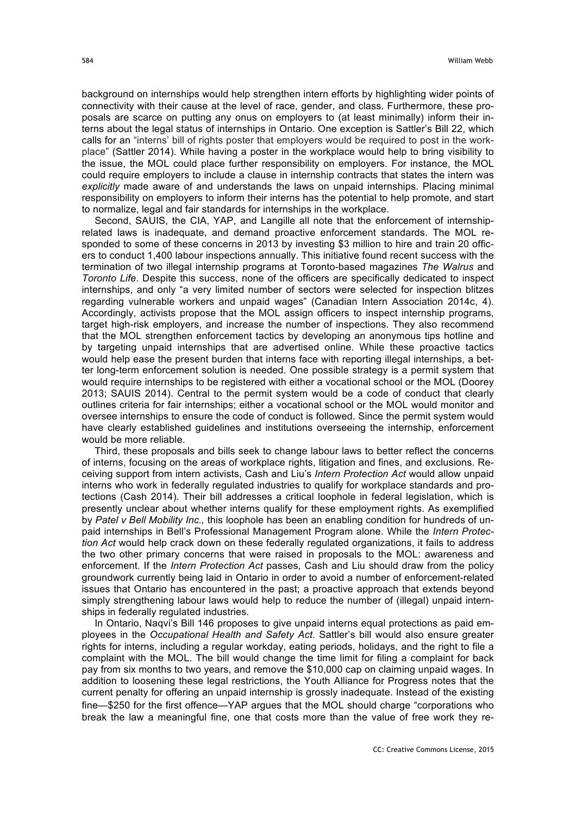background on internships would help strengthen intern efforts by highlighting wider points of connectivity with their cause at the level of race, gender, and class. Furthermore, these proposals are scarce on putting any onus on employers to (at least minimally) inform their interns about the legal status of internships in Ontario. One exception is Sattler's Bill 22, which calls for an "interns' bill of rights poster that employers would be required to post in the workplace" (Sattler 2014). While having a poster in the workplace would help to bring visibility to the issue, the MOL could place further responsibility on employers. For instance, the MOL could require employers to include a clause in internship contracts that states the intern was *explicitly* made aware of and understands the laws on unpaid internships. Placing minimal responsibility on employers to inform their interns has the potential to help promote, and start to normalize, legal and fair standards for internships in the workplace.

Second, SAUIS, the CIA, YAP, and Langille all note that the enforcement of internshiprelated laws is inadequate, and demand proactive enforcement standards. The MOL responded to some of these concerns in 2013 by investing \$3 million to hire and train 20 officers to conduct 1,400 labour inspections annually. This initiative found recent success with the termination of two illegal internship programs at Toronto-based magazines *The Walrus* and *Toronto Life*. Despite this success, none of the officers are specifically dedicated to inspect internships, and only "a very limited number of sectors were selected for inspection blitzes regarding vulnerable workers and unpaid wages" (Canadian Intern Association 2014c, 4). Accordingly, activists propose that the MOL assign officers to inspect internship programs, target high-risk employers, and increase the number of inspections. They also recommend that the MOL strengthen enforcement tactics by developing an anonymous tips hotline and by targeting unpaid internships that are advertised online. While these proactive tactics would help ease the present burden that interns face with reporting illegal internships, a better long-term enforcement solution is needed. One possible strategy is a permit system that would require internships to be registered with either a vocational school or the MOL (Doorey 2013; SAUIS 2014). Central to the permit system would be a code of conduct that clearly outlines criteria for fair internships; either a vocational school or the MOL would monitor and oversee internships to ensure the code of conduct is followed. Since the permit system would have clearly established guidelines and institutions overseeing the internship, enforcement would be more reliable.

Third, these proposals and bills seek to change labour laws to better reflect the concerns of interns, focusing on the areas of workplace rights, litigation and fines, and exclusions. Receiving support from intern activists, Cash and Liu's *Intern Protection Act* would allow unpaid interns who work in federally regulated industries to qualify for workplace standards and protections (Cash 2014). Their bill addresses a critical loophole in federal legislation, which is presently unclear about whether interns qualify for these employment rights. As exemplified by *Patel v Bell Mobility Inc.,* this loophole has been an enabling condition for hundreds of unpaid internships in Bell's Professional Management Program alone. While the *Intern Protection Act* would help crack down on these federally regulated organizations, it fails to address the two other primary concerns that were raised in proposals to the MOL: awareness and enforcement. If the *Intern Protection Act* passes, Cash and Liu should draw from the policy groundwork currently being laid in Ontario in order to avoid a number of enforcement-related issues that Ontario has encountered in the past; a proactive approach that extends beyond simply strengthening labour laws would help to reduce the number of (illegal) unpaid internships in federally regulated industries.

In Ontario, Naqvi's Bill 146 proposes to give unpaid interns equal protections as paid employees in the *Occupational Health and Safety Act*. Sattler's bill would also ensure greater rights for interns, including a regular workday, eating periods, holidays, and the right to file a complaint with the MOL. The bill would change the time limit for filing a complaint for back pay from six months to two years, and remove the \$10,000 cap on claiming unpaid wages. In addition to loosening these legal restrictions, the Youth Alliance for Progress notes that the current penalty for offering an unpaid internship is grossly inadequate. Instead of the existing fine—\$250 for the first offence—YAP argues that the MOL should charge "corporations who break the law a meaningful fine, one that costs more than the value of free work they re-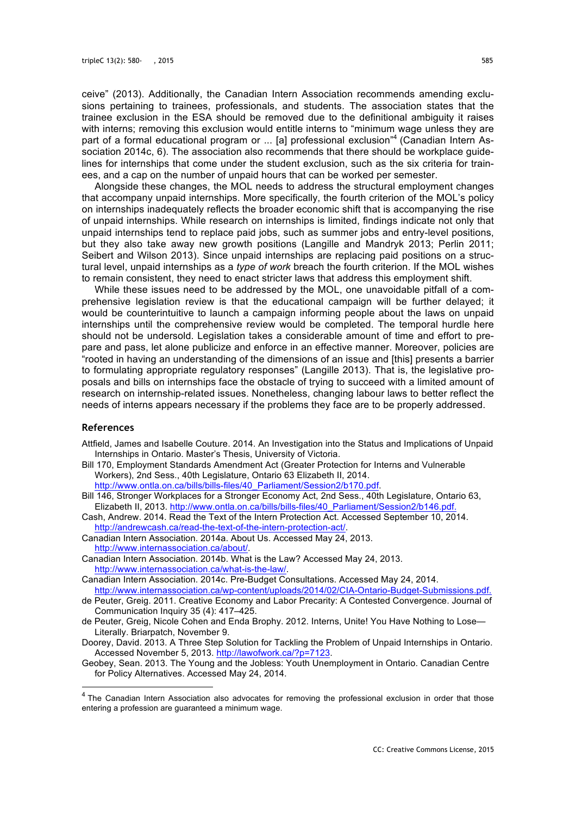ceive" (2013). Additionally, the Canadian Intern Association recommends amending exclusions pertaining to trainees, professionals, and students. The association states that the trainee exclusion in the ESA should be removed due to the definitional ambiguity it raises with interns; removing this exclusion would entitle interns to "minimum wage unless they are part of a formal educational program or ... [a] professional exclusion<sup>"4</sup> (Canadian Intern Association 2014c, 6). The association also recommends that there should be workplace guidelines for internships that come under the student exclusion, such as the six criteria for trainees, and a cap on the number of unpaid hours that can be worked per semester.

Alongside these changes, the MOL needs to address the structural employment changes that accompany unpaid internships. More specifically, the fourth criterion of the MOL's policy on internships inadequately reflects the broader economic shift that is accompanying the rise of unpaid internships. While research on internships is limited, findings indicate not only that unpaid internships tend to replace paid jobs, such as summer jobs and entry-level positions, but they also take away new growth positions (Langille and Mandryk 2013; Perlin 2011; Seibert and Wilson 2013). Since unpaid internships are replacing paid positions on a structural level, unpaid internships as a *type of work* breach the fourth criterion. If the MOL wishes to remain consistent, they need to enact stricter laws that address this employment shift.

While these issues need to be addressed by the MOL, one unavoidable pitfall of a comprehensive legislation review is that the educational campaign will be further delayed; it would be counterintuitive to launch a campaign informing people about the laws on unpaid internships until the comprehensive review would be completed. The temporal hurdle here should not be undersold. Legislation takes a considerable amount of time and effort to prepare and pass, let alone publicize and enforce in an effective manner. Moreover, policies are "rooted in having an understanding of the dimensions of an issue and [this] presents a barrier to formulating appropriate regulatory responses" (Langille 2013). That is, the legislative proposals and bills on internships face the obstacle of trying to succeed with a limited amount of research on internship-related issues. Nonetheless, changing labour laws to better reflect the needs of interns appears necessary if the problems they face are to be properly addressed.

#### **References**

- Attfield, James and Isabelle Couture. 2014. An Investigation into the Status and Implications of Unpaid Internships in Ontario. Master's Thesis, University of Victoria.
- Bill 170, Employment Standards Amendment Act (Greater Protection for Interns and Vulnerable Workers), 2nd Sess., 40th Legislature, Ontario 63 Elizabeth II, 2014.
- http://www.ontla.on.ca/bills/bills-files/40\_Parliament/Session2/b170.pdf. Bill 146, Stronger Workplaces for a Stronger Economy Act, 2nd Sess., 40th Legislature, Ontario 63, Elizabeth II, 2013. http://www.ontla.on.ca/bills/bills-files/40\_Parliament/Session2/b146.pdf.
- Cash, Andrew. 2014. Read the Text of the Intern Protection Act. Accessed September 10, 2014. http://andrewcash.ca/read-the-text-of-the-intern-protection-act/.
- Canadian Intern Association. 2014a. About Us. Accessed May 24, 2013. http://www.internassociation.ca/about/.
- Canadian Intern Association. 2014b. What is the Law? Accessed May 24, 2013. http://www.internassociation.ca/what-is-the-law/.
- Canadian Intern Association. 2014c. Pre-Budget Consultations. Accessed May 24, 2014. http://www.internassociation.ca/wp-content/uploads/2014/02/CIA-Ontario-Budget-Submissions.pdf.
- de Peuter, Greig. 2011. Creative Economy and Labor Precarity: A Contested Convergence. Journal of Communication Inquiry 35 (4): 417–425.
- de Peuter, Greig, Nicole Cohen and Enda Brophy. 2012. Interns, Unite! You Have Nothing to Lose— Literally. Briarpatch, November 9.
- Doorey, David. 2013. A Three Step Solution for Tackling the Problem of Unpaid Internships in Ontario. Accessed November 5, 2013. http://lawofwork.ca/?p=7123.
- Geobey, Sean. 2013. The Young and the Jobless: Youth Unemployment in Ontario. Canadian Centre for Policy Alternatives. Accessed May 24, 2014.

<sup>&</sup>lt;sup>4</sup> The Canadian Intern Association also advocates for removing the professional exclusion in order that those entering a profession are guaranteed a minimum wage.